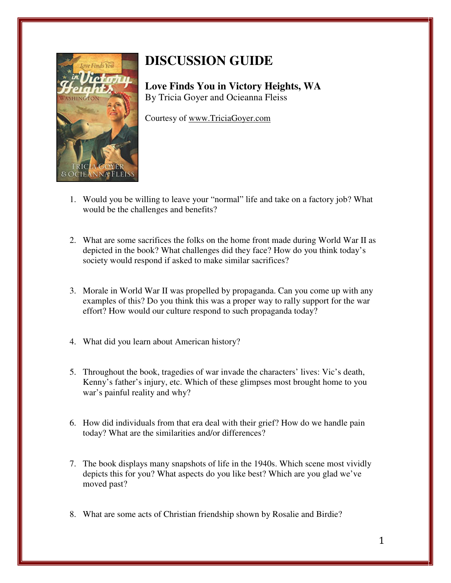

## **DISCUSSION GUIDE**

**Love Finds You in Victory Heights, WA**  By Tricia Goyer and Ocieanna Fleiss

Courtesy of www.TriciaGoyer.com

- 1. Would you be willing to leave your "normal" life and take on a factory job? What would be the challenges and benefits?
- 2. What are some sacrifices the folks on the home front made during World War II as depicted in the book? What challenges did they face? How do you think today's society would respond if asked to make similar sacrifices?
- 3. Morale in World War II was propelled by propaganda. Can you come up with any examples of this? Do you think this was a proper way to rally support for the war effort? How would our culture respond to such propaganda today?
- 4. What did you learn about American history?
- 5. Throughout the book, tragedies of war invade the characters' lives: Vic's death, Kenny's father's injury, etc. Which of these glimpses most brought home to you war's painful reality and why?
- 6. How did individuals from that era deal with their grief? How do we handle pain today? What are the similarities and/or differences?
- 7. The book displays many snapshots of life in the 1940s. Which scene most vividly depicts this for you? What aspects do you like best? Which are you glad we've moved past?
- 8. What are some acts of Christian friendship shown by Rosalie and Birdie?